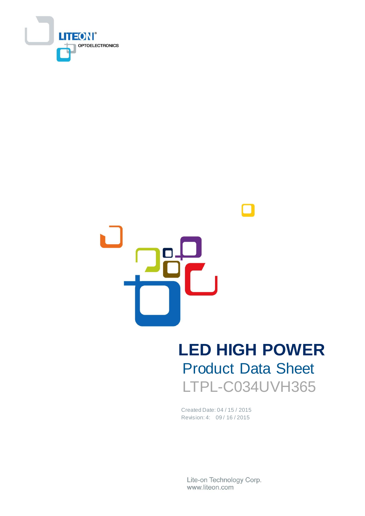

# **LED HIGH POWER** Product Data Sheet LTPL-C034UVH365

Created Date: 04 / 15 / 2015 Revision: 4: 09 / 16 / 2015

Lite-on Technology Corp. www.liteon.com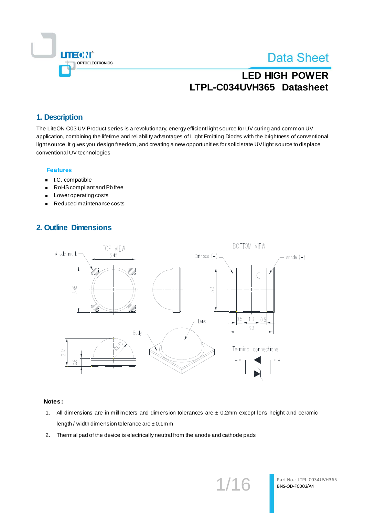

# **LED HIGH POWER LTPL-C034UVH365 Datasheet**

#### **1. Description**

The LiteON C03 UV Product series is a revolutionary, energy efficient light source for UV curing and common UV application, combining the lifetime and reliability advantages of Light Emitting Diodes with the brightness of conventional light source. It gives you design freedom, and creating a new opportunities for solid state UV light source to displace conventional UV technologies

#### **Features**

- **I.C. compatible**
- RoHS compliant and Pb free
- **Lower operating costs**
- Reduced maintenance costs

### **2. Outline Dimensions**



#### **Notes:**

- 1. All dimensions are in millimeters and dimension tolerances are  $\pm$  0.2mm except lens height and ceramic length / width dimension tolerance are  $\pm$  0.1mm
- 2. Thermal pad of the device is electrically neutral from the anode and cathode pads

1/16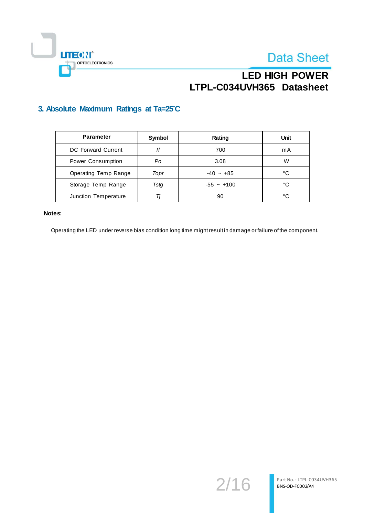

## **LED HIGH POWER LTPL-C034UVH365 Datasheet**

### **3. Absolute Maximum Ratings at Ta=25**°**C**

| <b>Parameter</b>     | Symbol | Rating       | Unit |
|----------------------|--------|--------------|------|
| DC Forward Current   | lf     | 700          | mA   |
| Power Consumption    | Po     | 3.08         | W    |
| Operating Temp Range | Topr   | $-40 - +85$  | °C   |
| Storage Temp Range   | Tsta   | $-55 - +100$ | °C   |
| Junction Temperature | Ti     | 90           | °C   |

#### **Notes:**

Operating the LED under reverse bias condition long time might result in damage or failure of the component.

2/16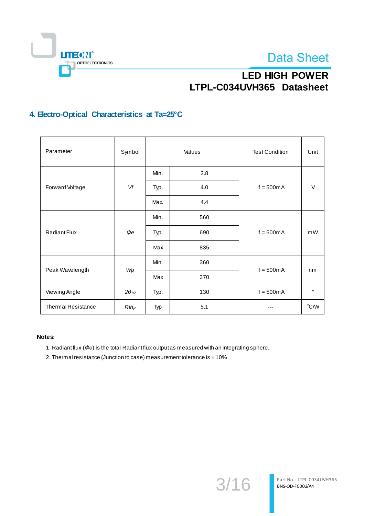



# **LED HIGH POWER LTPL-C034UVH365 Datasheet**

## **4. Electro-Optical Characteristics at Ta=25°C**

| Parameter                 | Symbol          | Values |     | <b>Test Condition</b> | Unit          |
|---------------------------|-----------------|--------|-----|-----------------------|---------------|
|                           |                 | Min.   | 2.8 | If $= 500mA$          | $\vee$        |
| Forward Voltage           | Vf              | Typ.   | 4.0 |                       |               |
|                           |                 | Max.   | 4.4 |                       |               |
| Radiant Flux              | $\Phi e$        | Min.   | 560 | If $= 500mA$          | mW            |
|                           |                 | Typ.   | 690 |                       |               |
|                           |                 | Max    | 835 |                       |               |
|                           | Wp              | Min.   | 360 | If $= 500mA$          |               |
| Peak Wavelength           |                 | Max    | 370 |                       | nm            |
| Viewing Angle             | $2\theta_{1/2}$ | Typ.   | 130 | If $= 500mA$          | $\circ$       |
| <b>Thermal Resistance</b> | $Rth_{jc}$      | Typ    | 5.1 |                       | $\degree$ C/W |

#### **Notes:**

- 1. Radiant flux (*Φe*) is the total Radiant flux output as measured with an integrating sphere.
- 2. Thermal resistance (Junction to case) measurement tolerance is  $\pm 10\%$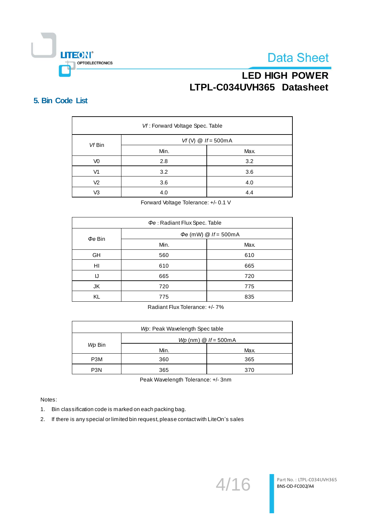

## **LED HIGH POWER LTPL-C034UVH365 Datasheet**

#### **5. Bin Code List**

| Vf: Forward Voltage Spec. Table |                            |      |  |  |
|---------------------------------|----------------------------|------|--|--|
| Vf Bin                          | Vf (V) $\omega$ If = 500mA |      |  |  |
|                                 | Min.                       | Max. |  |  |
| V0                              | 2.8                        | 3.2  |  |  |
| V <sub>1</sub>                  | 3.2                        | 3.6  |  |  |
| V <sub>2</sub>                  | 3.6                        | 4.0  |  |  |
| V3                              | 4.0                        | 4.4  |  |  |

Forward Voltage Tolerance: +/- 0.1 V

| $\Phi e$ : Radiant Flux Spec. Table |                            |      |  |  |
|-------------------------------------|----------------------------|------|--|--|
| $\phi$ e Bin                        | $\Phi$ e (mW) @ If = 500mA |      |  |  |
|                                     | Min.                       | Max. |  |  |
| GH                                  | 560                        | 610  |  |  |
| HI                                  | 610                        | 665  |  |  |
| IJ                                  | 665                        | 720  |  |  |
| JK                                  | 720                        | 775  |  |  |
| KL                                  | 775                        | 835  |  |  |

Radiant Flux Tolerance: +/- 7%

| Wp: Peak Wavelength Spec table |                                        |      |  |  |
|--------------------------------|----------------------------------------|------|--|--|
|                                | $Wp$ (nm) $\textcircled{a}$ If = 500mA |      |  |  |
| Wp Bin                         | Min.                                   | Max. |  |  |
| P <sub>3</sub> M               | 360                                    | 365  |  |  |
| P <sub>3</sub> N               | 365                                    | 370  |  |  |

Peak Wavelength Tolerance: +/- 3nm

Notes:

1. Bin classification code is marked on each packing bag.

2. If there is any special or limited bin request, please contact with LiteOn's sales

4/16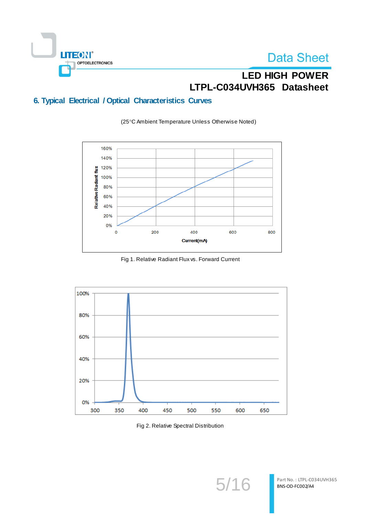

# **LED HIGH POWER LTPL-C034UVH365 Datasheet**

## **6. Typical Electrical / Optical Characteristics Curves**

(25°C Ambient Temperature Unless Otherwise Noted)



Fig 1. Relative Radiant Flux vs. Forward Current



Fig 2. Relative Spectral Distribution

5/16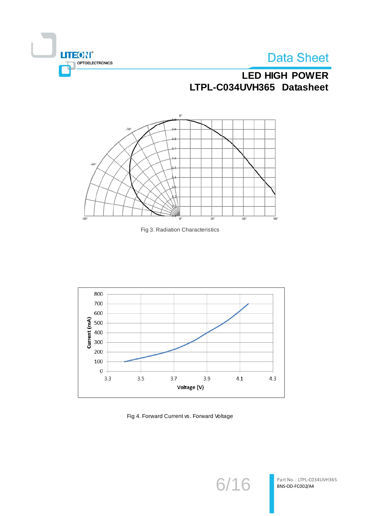

## **LED HIGH POWER LTPL-C034UVH365 Datasheet**







Fig 4. Forward Current vs. Forward Voltage

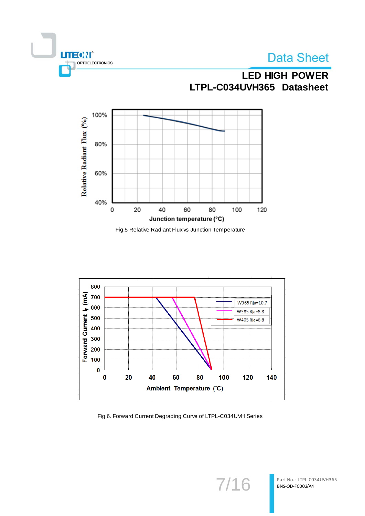



# **LED HIGH POWER LTPL-C034UVH365 Datasheet**



Fig.5 Relative Radiant Flux vs Junction Temperature



Fig 6. Forward Current Degrading Curve of LTPL-C034UVH Series

7/16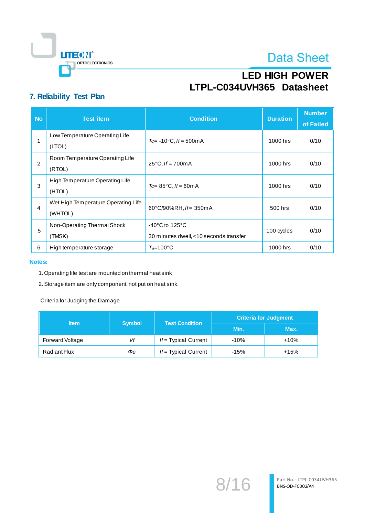

# **LED HIGH POWER LTPL-C034UVH365 Datasheet**

### **7. Reliability Test Plan**

| <b>No</b>      | <b>Test item</b>                               | <b>Condition</b>                                                              | <b>Duration</b> | <b>Number</b><br>of Failed |
|----------------|------------------------------------------------|-------------------------------------------------------------------------------|-----------------|----------------------------|
|                | Low Temperature Operating Life<br>(LTOL)       | $Tc = -10^{\circ}C$ , If = 500m A                                             | 1000 hrs        | 0/10                       |
| $\overline{2}$ | Room Temperature Operating Life<br>(RTOL)      | $25^{\circ}$ C, If = 700mA                                                    | 1000 hrs        | 0/10                       |
| 3              | High Temperature Operating Life<br>(HTOL)      | $Tc = 85^{\circ}C$ , $If = 60mA$                                              | 1000 hrs        | 0/10                       |
| 4              | Wet High Temperature Operating Life<br>(WHTOL) | 60°C/90%RH, If= 350mA                                                         | 500 hrs         | 0/10                       |
| 5              | Non-Operating Thermal Shock<br>(TMSK)          | $-40^{\circ}$ C to 125 $^{\circ}$ C<br>30 minutes dwell, <10 seconds transfer | 100 cycles      | 0/10                       |
| 6              | High temperature storage                       | $T_A = 100^{\circ}$ C                                                         | 1000 hrs        | 0/10                       |

#### **Notes:**

- 1.Operating life test are mounted on thermal heat sink
- 2.Storage item are only component, not put on heat sink.

Criteria for Judging the Damage

| <b>Item</b>     | <b>Symbol</b> | <b>Test Condition</b>  | <b>Criteria for Judgment</b> |        |  |
|-----------------|---------------|------------------------|------------------------------|--------|--|
|                 |               |                        | Min.                         | Max.   |  |
| Forward Voltage | Vf            | $If = Typical Current$ | $-10%$                       | $+10%$ |  |
| Radiant Flux    | Фе            | $If = Typical Current$ | $-15%$                       | $+15%$ |  |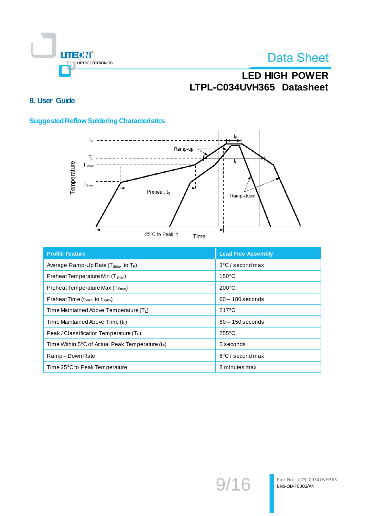

# **LED HIGH POWER LTPL-C034UVH365 Datasheet**

## **8. User Guide**

#### **Suggested Reflow Soldering Characteristics**



| <b>Profile Feature</b>                                                 | <b>Lead Free Assembly</b>  |
|------------------------------------------------------------------------|----------------------------|
| Average Ramp-Up Rate ( $T_{\text{Smax}}$ to $T_{\text{P}}$ )           | 3°C/second max             |
| Preheat Temperature Min (T <sub>Smin</sub> )                           | $150^{\circ}$ C            |
| Preheat Temperature Max (T <sub>Smax</sub> )                           | $200^{\circ}$ C            |
| Preheat Time ( $t_{\text{Smin}}$ to $t_{\text{Smax}}$ )                | $60 - 180$ seconds         |
| Time Maintained Above Temperature $(T_L)$                              | $217^{\circ}$ C            |
| Time Maintained Above Time $(t_L)$                                     | $60 - 150$ seconds         |
| Peak / Classification Temperature $(T_P)$                              | $255^{\circ}$ C            |
| Time Within $5^{\circ}$ C of Actual Peak Temperature (t <sub>P</sub> ) | 5 seconds                  |
| Ramp-Down Rate                                                         | $6^{\circ}$ C / second max |
| Time 25°C to Peak Temperature                                          | 8 minutes max              |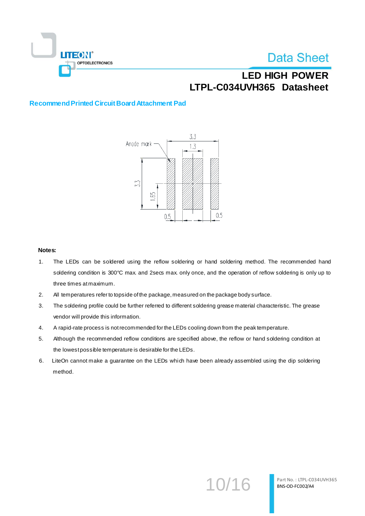

# **LED HIGH POWER LTPL-C034UVH365 Datasheet**

#### **Recommend Printed Circuit Board Attachment Pad**



#### **Notes:**

- 1. The LEDs can be soldered using the reflow soldering or hand soldering method. The recommended hand soldering condition is 300°C max. and 2secs max. only once, and the operation of reflow soldering is only up to three times at maximum.
- 2. All temperatures refer to topside of the package, measured on the package body surface.
- 3. The soldering profile could be further referred to different soldering grease material characteristic. The grease vendor will provide this information.
- 4. A rapid-rate process is not recommended for the LEDs cooling down from the peak temperature.
- 5. Although the recommended reflow conditions are specified above, the reflow or hand soldering condition at the lowest possible temperature is desirable for the LEDs.
- 6. LiteOn cannot make a guarantee on the LEDs which have been already assembled using the dip soldering method.

10/16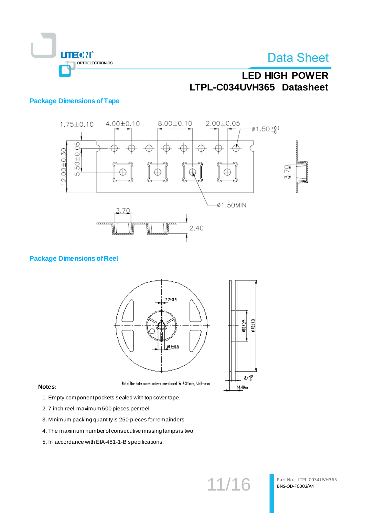

# **LED HIGH POWER LTPL-C034UVH365 Datasheet**

#### **Package Dimensions of Tape**



#### **Package Dimensions of Reel**



#### **Notes:**

1. Empty component pockets sealed with top cover tape.

- 2. 7 inch reel-maximum 500 pieces per reel.
- 3. Minimum packing quantity is 250 pieces for remainders.
- 4. The maximum number of consecutive missing lamps is two.
- 5. In accordance with EIA-481-1-B specifications.

11/16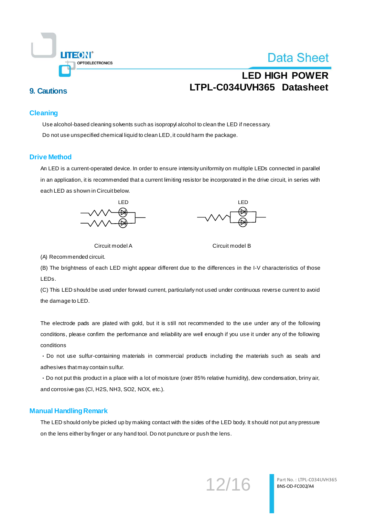

# **LED HIGH POWER LTPL-C034UVH365 Datasheet 9. Cautions**

#### **Cleaning**

Use alcohol-based cleaning solvents such as isopropyl alcohol to clean the LED if necessary. Do not use unspecified chemical liquid to clean LED,it could harm the package.

#### **Drive Method**

An LED is a current-operated device. In order to ensure intensity uniformity on multiple LEDs connected in parallel in an application, it is recommended that a current limiting resistor be incorporated in the drive circuit, in series with each LED as shown in Circuit below.





Circuit model A Circuit model B

(A) Recommended circuit.

(B) The brightness of each LED might appear different due to the differences in the I-V characteristics of those LEDs.

(C) This LED should be used under forward current, particularly not used under continuous reverse current to avoid the damage to LED.

The electrode pads are plated with gold, but it is still not recommended to the use under any of the following conditions, please confirm the performance and reliability are well enough if you use it under any of the following conditions

・Do not use sulfur-containing materials in commercial products including the materials such as seals and adhesives that may contain sulfur.

・Do not put this product in a place with a lot of moisture (over 85% relative humidity), dew condensation, briny air, and corrosive gas (Cl, H2S, NH3, SO2, NOX, etc.).

#### **Manual Handling Remark**

The LED should only be picked up by making contact with the sides of the LED body. It should not put any pressure on the lens either by finger or any hand tool. Do not puncture or push the lens.

12/16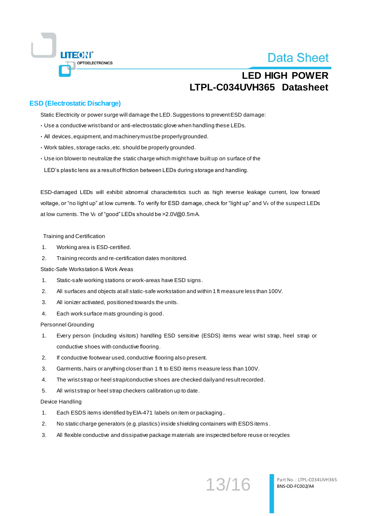

## **LED HIGH POWER LTPL-C034UVH365 Datasheet**

#### **ESD (Electrostatic Discharge)**

Static Electricity or power surge will damage the LED. Suggestions to prevent ESD damage:

- ・Use a conductive wrist band or anti-electrostatic glove when handling these LEDs.
- ・All devices, equipment, and machinery must be properly grounded.
- ・Work tables, storage racks, etc. should be properly grounded.
- ・Use ion blower to neutralize the static charge which might have built up on surface of the

LED's plastic lens as a result of friction between LEDs during storage and handling.

ESD-damaged LEDs will exhibit abnormal characteristics such as high reverse leakage current, low forward voltage, or "no light up" at low currents. To verify for ESD damage, check for "light up" and  $V_F$  of the suspect LEDs at low currents. The VF of "good" LEDs should be > 2.0 V@ 0.5mA.

#### Training and Certification

- 1. Working area is ESD-certified.
- 2. Training records and re-certification dates monitored.

Static-Safe Workstation & Work Areas

- 1. Static-safe working stations or work-areas have ESD signs.
- 2. All surfaces and objects at all static-safe workstation and within 1 ft measure less than 100V.
- 3. All ionizer activated, positioned towards the units.
- 4. Each work surface mats grounding is good.

Personnel Grounding

- 1. Every person (including visitors) handling ESD sensitive (ESDS) items wear wrist strap, heel strap or conductive shoes with conductive flooring.
- 2. If conductive footwear used, conductive flooring also present.
- 3. Garments, hairs or anything closer than 1 ft to ESD items measure less than 100V.
- 4. The wrist strap or heel strap/conductive shoes are checked daily and result recorded.
- 5. All wrist strap or heel strap checkers calibration up to date.

#### Device Handling

- 1. Each ESDS items identified by EIA-471 labels on item or packaging..
- 2. No static charge generators (e.g. plastics) inside shielding containers with ESDS items .
- 3. All flexible conductive and dissipative package materials are inspected before reuse or recycles

13/16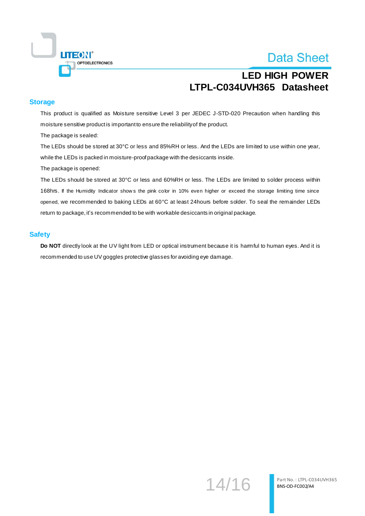

## **LED HIGH POWER LTPL-C034UVH365 Datasheet**

#### **Storage**

This product is qualified as Moisture sensitive Level 3 per JEDEC J-STD-020 Precaution when handling this moisture sensitive product is important to ensure the reliability of the product.

The package is sealed:

The LEDs should be stored at 30°C or less and 85%RH or less. And the LEDs are limited to use within one year, while the LEDs is packed in moisture-proof package with the desiccants inside.

The package is opened:

The LEDs should be stored at 30°C or less and 60%RH or less. The LEDs are limited to solder process within 168hrs. If the Humidity Indicator show s the pink color in 10% even higher or exceed the storage limiting time since opened, we recommended to baking LEDs at 60°C at least 24hours before solder. To seal the remainder LEDs return to package, it's recommended to be with workable desiccants in original package.

#### **Safety**

**Do NOT** directly look at the UV light from LED or optical instrument because it is harmful to human eyes. And it is recommended to use UV goggles protective glasses for avoiding eye damage.

14/16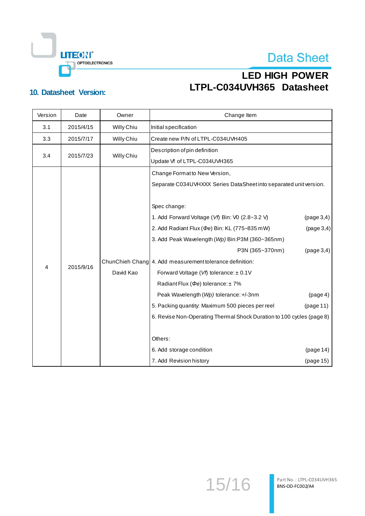**LITEON®** OPTOELECTRONICS

# **Data Sheet**

# **LED HIGH POWER LTPL-C034UVH365 Datasheet 10. Datasheet Version:**

| Version        | Date      | Owner      | Change Item                                                           |            |
|----------------|-----------|------------|-----------------------------------------------------------------------|------------|
| 3.1            | 2015/4/15 | Willy Chiu | Initial specification                                                 |            |
| 3.3            | 2015/7/17 | Willy Chiu | Create new P/N of LTPL-C034UVH405                                     |            |
|                |           |            | Description of pin definition                                         |            |
| 3.4            | 2015/7/23 | Willy Chiu | Update Vf of LTPL-C034UVH365                                          |            |
|                |           |            | Change Format to New Version,                                         |            |
|                |           |            | Separate C034UVHXXX Series DataSheet into separated unit version.     |            |
|                |           |            |                                                                       |            |
|                |           |            | Spec change:                                                          |            |
|                |           |            | 1. Add Forward Voltage (Vf) Bin: V0 (2.8~3.2 V)                       | (page 3,4) |
|                |           |            | 2. Add Radiant Flux ( $\phi$ e) Bin: KL (775~835 mW)                  | (page 3,4) |
|                |           |            | 3. Add Peak Wavelength (Wp) Bin:P3M (360~365nm)                       |            |
|                |           |            | P3N (365~370nm)                                                       | (page 3,4) |
|                |           |            | ChunChieh Chang 4. Add measurement tolerance definition:              |            |
| $\overline{4}$ | 2015/9/16 | David Kao  | Forward Voltage (Vf) tolerance: ± 0.1V                                |            |
|                |           |            | Radiant Flux ( $\Phi$ e) tolerance: ± 7%                              |            |
|                |           |            | Peak Wavelength (Wp) tolerance: +/-3nm                                | (page 4)   |
|                |           |            | 5. Packing quantity: Maximum 500 pieces per reel                      | (page 11)  |
|                |           |            | 6. Revise Non-Operating Thermal Shock Duration to 100 cycles (page 8) |            |
|                |           |            |                                                                       |            |
|                |           |            | Others:                                                               |            |
|                |           |            | 6. Add storage condition                                              | (page 14)  |
|                |           |            | 7. Add Revision history                                               | (page 15)  |